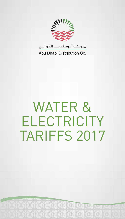

شىركة أبوظبمب للتوزييع

Abu Dhabi Distribution Co.

# WATER & **ELECTRICITY** TARIFFS 2017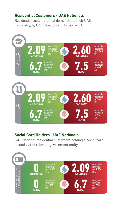## **Residential Customers - UAE Nationals**

Residential customers that demonstrate their UAE nationality, by UAE Passport and Emirates ID.





# **Social Card Holders - UAE Nationals**

UAE National residential customers holding a social card issued by the relevant government entity.

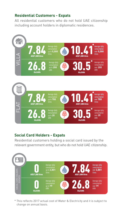#### **Residential Customers - Expats**

All residential customers who do not hold UAE citizenship including account holders in diplomatic residences.





#### **Social Card Holders - Expats**

Residential customers holding a social card issued by the relevant government entity, but who do not hold UAE citizenship.



\* This reflects 2017 actual cost of Water & Electricity and it is subject to change on annual basis.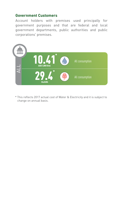#### **Government Customers**

Account holders with premises used principally for government purposes and that are federal and local government departments, public authorities and public corporations' premises.



\* This reflects 2017 actual cost of Water & Electricity and it is subject to change on annual basis.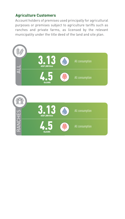# **Agriculture Customers**

Account holders of premises used principally for agricultural purposes or premises subject to agriculture tariffs such as ranches and private farms, as licensed by the relevant municipality under the title deed of the land and site plan.

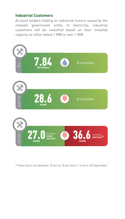#### **Industrial Customers**

Account holders holding an industrial licence issued by the relevant government entity. In electricity, industrial customers will be classified based on their installed capacity as either below 1 MW or over 1 MW.



\* Peak hours are between 10 am to 10 pm from 1 June to 30 September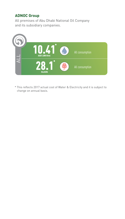## **ADNOC Group**

All premises of Abu Dhabi National Oil Company and its subsidiary companies.



\* This reflects 2017 actual cost of Water & Electricity and it is subject to change on annual basis.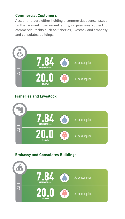#### **Commercial Customers**

Account holders either holding a commercial licence issued by the relevant government entity, or premises subject to commercial tariffs such as fisheries, livestock and embassy and consulates buildings.



# **Embassy and Consulates Buildings**